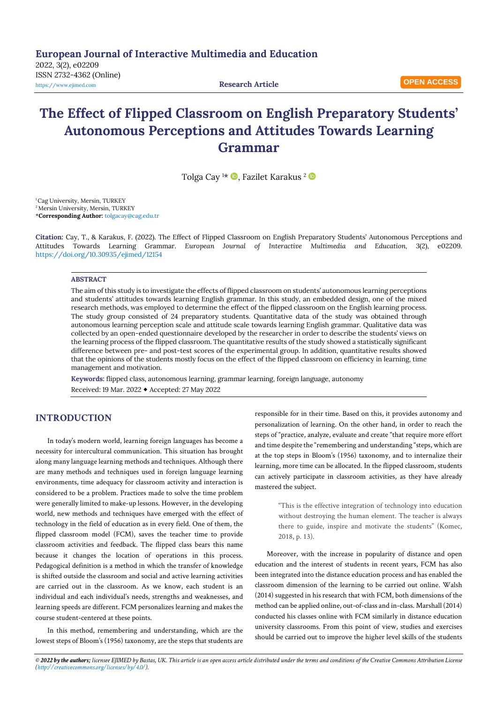**European Journal of Interactive Multimedia and Education**

2022, 3(2), e02209 ISSN 2732-4362 (Online) [https://www.ejimed.com](https://www.ejimed.com/) **Research Article**

# **The Effect of Flipped Classroom on English Preparatory Students' Autonomous Perceptions and Attitudes Towards Learning Grammar**

Tolga Cay<sup>1\*</sup> **D**, Fazilet Karakus<sup>2</sup> **D** 

<sup>1</sup>Cag University, Mersin, TURKEY <sup>2</sup> Mersin University, Mersin, TURKEY \***Corresponding Author:** [tolgacay@cag.edu.tr](mailto:tolgacay@cag.edu.tr)

**Citation:** Cay, T., & Karakus, F. (2022). The Effect of Flipped Classroom on English Preparatory Students' Autonomous Perceptions and Attitudes Towards Learning Grammar. *European Journal of Interactive Multimedia and Education, 3*(2), e02209. <https://doi.org/10.30935/ejimed/12154>

## **ABSTRACT**

The aim of this study is to investigate the effects of flipped classroom on students' autonomous learning perceptions and students' attitudes towards learning English grammar. In this study, an embedded design, one of the mixed research methods, was employed to determine the effect of the flipped classroom on the English learning process. The study group consisted of 24 preparatory students. Quantitative data of the study was obtained through autonomous learning perception scale and attitude scale towards learning English grammar. Qualitative data was collected by an open-ended questionnaire developed by the researcher in order to describe the students' views on the learning process of the flipped classroom. The quantitative results of the study showed a statistically significant difference between pre- and post-test scores of the experimental group. In addition, quantitative results showed that the opinions of the students mostly focus on the effect of the flipped classroom on efficiency in learning, time management and motivation.

**Keywords:** flipped class, autonomous learning, grammar learning, foreign language, autonomy Received: 19 Mar. 2022 Accepted: 27 May 2022

# **INTRODUCTION**

In today's modern world, learning foreign languages has become a necessity for intercultural communication. This situation has brought along many language learning methods and techniques. Although there are many methods and techniques used in foreign language learning environments, time adequacy for classroom activity and interaction is considered to be a problem. Practices made to solve the time problem were generally limited to make-up lessons. However, in the developing world, new methods and techniques have emerged with the effect of technology in the field of education as in every field. One of them, the flipped classroom model (FCM), saves the teacher time to provide classroom activities and feedback. The flipped class bears this name because it changes the location of operations in this process. Pedagogical definition is a method in which the transfer of knowledge is shifted outside the classroom and social and active learning activities are carried out in the classroom. As we know, each student is an individual and each individual's needs, strengths and weaknesses, and learning speeds are different. FCM personalizes learning and makes the course student-centered at these points.

In this method, remembering and understanding, which are the lowest steps of Bloom's (1956) taxonomy, are the steps that students are

responsible for in their time. Based on this, it provides autonomy and personalization of learning. On the other hand, in order to reach the steps of "practice, analyze, evaluate and create "that require more effort and time despite the "remembering and understanding "steps, which are at the top steps in Bloom's (1956) taxonomy, and to internalize their learning, more time can be allocated. In the flipped classroom, students can actively participate in classroom activities, as they have already mastered the subject.

> "This is the effective integration of technology into education without destroying the human element. The teacher is always there to guide, inspire and motivate the students" (Komec, 2018, p. 13).

Moreover, with the increase in popularity of distance and open education and the interest of students in recent years, FCM has also been integrated into the distance education process and has enabled the classroom dimension of the learning to be carried out online. Walsh (2014) suggested in his research that with FCM, both dimensions of the method can be applied online, out-of-class and in-class. Marshall (2014) conducted his classes online with FCM similarly in distance education university classrooms. From this point of view, studies and exercises should be carried out to improve the higher level skills of the students

© 2022 by the authors; licensee EJIMED by Bastas, UK. This article is an open access article distributed under the terms and conditions of the Creative Commons Attribution License *[\(http://creativecommons.org/licenses/by/4.0/\)](http://creativecommons.org/licenses/by/4.0/).*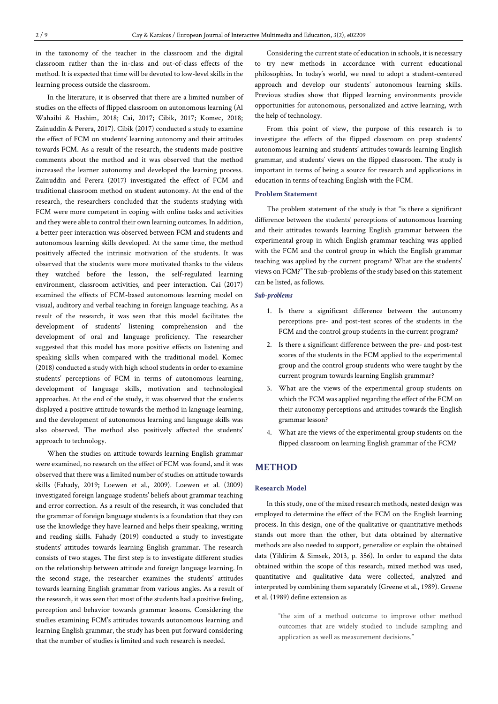in the taxonomy of the teacher in the classroom and the digital classroom rather than the in-class and out-of-class effects of the method. It is expected that time will be devoted to low-level skills in the learning process outside the classroom.

In the literature, it is observed that there are a limited number of studies on the effects of flipped classroom on autonomous learning (Al Wahaibi & Hashim, 2018; Cai, 2017; Cibik, 2017; Komec, 2018; Zainuddin & Perera, 2017). Cibik (2017) conducted a study to examine the effect of FCM on students' learning autonomy and their attitudes towards FCM. As a result of the research, the students made positive comments about the method and it was observed that the method increased the learner autonomy and developed the learning process. Zainuddin and Perera (2017) investigated the effect of FCM and traditional classroom method on student autonomy. At the end of the research, the researchers concluded that the students studying with FCM were more competent in coping with online tasks and activities and they were able to control their own learning outcomes. In addition, a better peer interaction was observed between FCM and students and autonomous learning skills developed. At the same time, the method positively affected the intrinsic motivation of the students. It was observed that the students were more motivated thanks to the videos they watched before the lesson, the self-regulated learning environment, classroom activities, and peer interaction. Cai (2017) examined the effects of FCM-based autonomous learning model on visual, auditory and verbal teaching in foreign language teaching. As a result of the research, it was seen that this model facilitates the development of students' listening comprehension and the development of oral and language proficiency. The researcher suggested that this model has more positive effects on listening and speaking skills when compared with the traditional model. Komec (2018) conducted a study with high school students in order to examine students' perceptions of FCM in terms of autonomous learning, development of language skills, motivation and technological approaches. At the end of the study, it was observed that the students displayed a positive attitude towards the method in language learning, and the development of autonomous learning and language skills was also observed. The method also positively affected the students' approach to technology.

When the studies on attitude towards learning English grammar were examined, no research on the effect of FCM was found, and it was observed that there was a limited number of studies on attitude towards skills (Fahady, 2019; Loewen et al., 2009). Loewen et al. (2009) investigated foreign language students' beliefs about grammar teaching and error correction. As a result of the research, it was concluded that the grammar of foreign language students is a foundation that they can use the knowledge they have learned and helps their speaking, writing and reading skills. Fahady (2019) conducted a study to investigate students' attitudes towards learning English grammar. The research consists of two stages. The first step is to investigate different studies on the relationship between attitude and foreign language learning. In the second stage, the researcher examines the students' attitudes towards learning English grammar from various angles. As a result of the research, it was seen that most of the students had a positive feeling, perception and behavior towards grammar lessons. Considering the studies examining FCM's attitudes towards autonomous learning and learning English grammar, the study has been put forward considering that the number of studies is limited and such research is needed.

Considering the current state of education in schools, it is necessary to try new methods in accordance with current educational philosophies. In today's world, we need to adopt a student-centered approach and develop our students' autonomous learning skills. Previous studies show that flipped learning environments provide opportunities for autonomous, personalized and active learning, with the help of technology.

From this point of view, the purpose of this research is to investigate the effects of the flipped classroom on prep students' autonomous learning and students' attitudes towards learning English grammar, and students' views on the flipped classroom. The study is important in terms of being a source for research and applications in education in terms of teaching English with the FCM.

## **Problem Statement**

The problem statement of the study is that "is there a significant difference between the students' perceptions of autonomous learning and their attitudes towards learning English grammar between the experimental group in which English grammar teaching was applied with the FCM and the control group in which the English grammar teaching was applied by the current program? What are the students' views on FCM?" The sub-problems of the study based on this statement can be listed, as follows.

### *Sub-problems*

- 1. Is there a significant difference between the autonomy perceptions pre- and post-test scores of the students in the FCM and the control group students in the current program?
- 2. Is there a significant difference between the pre- and post-test scores of the students in the FCM applied to the experimental group and the control group students who were taught by the current program towards learning English grammar?
- 3. What are the views of the experimental group students on which the FCM was applied regarding the effect of the FCM on their autonomy perceptions and attitudes towards the English grammar lesson?
- 4. What are the views of the experimental group students on the flipped classroom on learning English grammar of the FCM?

## **METHOD**

## **Research Model**

In this study, one of the mixed research methods, nested design was employed to determine the effect of the FCM on the English learning process. In this design, one of the qualitative or quantitative methods stands out more than the other, but data obtained by alternative methods are also needed to support, generalize or explain the obtained data (Yildirim & Simsek, 2013, p. 356). In order to expand the data obtained within the scope of this research, mixed method was used, quantitative and qualitative data were collected, analyzed and interpreted by combining them separately (Greene et al., 1989). Greene et al. (1989) define extension as

> "the aim of a method outcome to improve other method outcomes that are widely studied to include sampling and application as well as measurement decisions."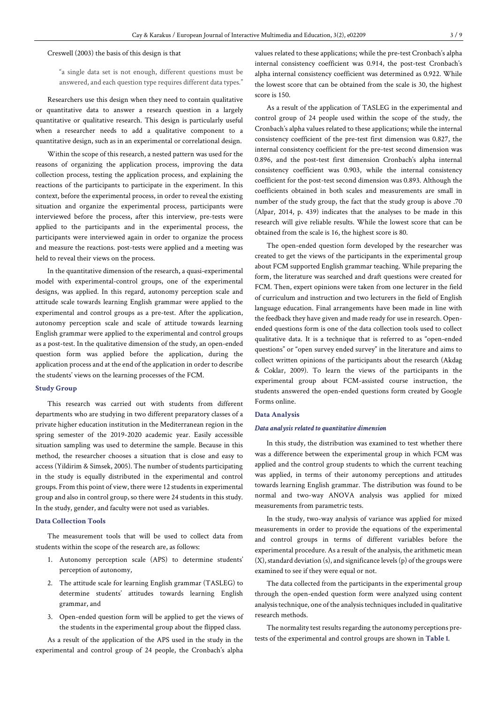#### Creswell (2003) the basis of this design is that

"a single data set is not enough, different questions must be answered, and each question type requires different data types."

Researchers use this design when they need to contain qualitative or quantitative data to answer a research question in a largely quantitative or qualitative research. This design is particularly useful when a researcher needs to add a qualitative component to a quantitative design, such as in an experimental or correlational design.

Within the scope of this research, a nested pattern was used for the reasons of organizing the application process, improving the data collection process, testing the application process, and explaining the reactions of the participants to participate in the experiment. In this context, before the experimental process, in order to reveal the existing situation and organize the experimental process, participants were interviewed before the process, after this interview, pre-tests were applied to the participants and in the experimental process, the participants were interviewed again in order to organize the process and measure the reactions. post-tests were applied and a meeting was held to reveal their views on the process.

In the quantitative dimension of the research, a quasi-experimental model with experimental-control groups, one of the experimental designs, was applied. In this regard, autonomy perception scale and attitude scale towards learning English grammar were applied to the experimental and control groups as a pre-test. After the application, autonomy perception scale and scale of attitude towards learning English grammar were applied to the experimental and control groups as a post-test. In the qualitative dimension of the study, an open-ended question form was applied before the application, during the application process and at the end of the application in order to describe the students' views on the learning processes of the FCM.

#### **Study Group**

This research was carried out with students from different departments who are studying in two different preparatory classes of a private higher education institution in the Mediterranean region in the spring semester of the 2019-2020 academic year. Easily accessible situation sampling was used to determine the sample. Because in this method, the researcher chooses a situation that is close and easy to access (Yildirim & Simsek, 2005). The number of students participating in the study is equally distributed in the experimental and control groups. From this point of view, there were 12 studentsin experimental group and also in control group, so there were 24 students in this study. In the study, gender, and faculty were not used as variables.

## **Data Collection Tools**

The measurement tools that will be used to collect data from students within the scope of the research are, as follows:

- 1. Autonomy perception scale (APS) to determine students' perception of autonomy,
- 2. The attitude scale for learning English grammar (TASLEG) to determine students' attitudes towards learning English grammar, and
- 3. Open-ended question form will be applied to get the views of the students in the experimental group about the flipped class.

As a result of the application of the APS used in the study in the experimental and control group of 24 people, the Cronbach's alpha values related to these applications; while the pre-test Cronbach's alpha internal consistency coefficient was 0.914, the post-test Cronbach's alpha internal consistency coefficient was determined as 0.922. While the lowest score that can be obtained from the scale is 30, the highest score is 150.

As a result of the application of TASLEG in the experimental and control group of 24 people used within the scope of the study, the Cronbach's alpha values related to these applications; while the internal consistency coefficient of the pre-test first dimension was 0.827, the internal consistency coefficient for the pre-test second dimension was 0.896, and the post-test first dimension Cronbach's alpha internal consistency coefficient was 0.903, while the internal consistency coefficient for the post-test second dimension was 0.893. Although the coefficients obtained in both scales and measurements are small in number of the study group, the fact that the study group is above .70 (Alpar, 2014, p. 439) indicates that the analyses to be made in this research will give reliable results. While the lowest score that can be obtained from the scale is 16, the highest score is 80.

The open-ended question form developed by the researcher was created to get the views of the participants in the experimental group about FCM supported English grammar teaching. While preparing the form, the literature was searched and draft questions were created for FCM. Then, expert opinions were taken from one lecturer in the field of curriculum and instruction and two lecturers in the field of English language education. Final arrangements have been made in line with the feedback they have given and made ready for use in research. Openended questions form is one of the data collection tools used to collect qualitative data. It is a technique that is referred to as "open-ended questions" or "open survey ended survey" in the literature and aims to collect written opinions of the participants about the research (Akdag & Coklar, 2009). To learn the views of the participants in the experimental group about FCM-assisted course instruction, the students answered the open-ended questions form created by Google Forms online.

## **Data Analysis**

#### *Data analysis related to quantitative dimension*

In this study, the distribution was examined to test whether there was a difference between the experimental group in which FCM was applied and the control group students to which the current teaching was applied, in terms of their autonomy perceptions and attitudes towards learning English grammar. The distribution was found to be normal and two-way ANOVA analysis was applied for mixed measurements from parametric tests.

In the study, two-way analysis of variance was applied for mixed measurements in order to provide the equations of the experimental and control groups in terms of different variables before the experimental procedure. As a result of the analysis, the arithmetic mean (X), standard deviation (s), and significance levels(p) of the groups were examined to see if they were equal or not.

The data collected from the participants in the experimental group through the open-ended question form were analyzed using content analysis technique, one of the analysis techniques included in qualitative research methods.

The normality test results regarding the autonomy perceptions pretests of the experimental and control groups are shown in **Table 1**.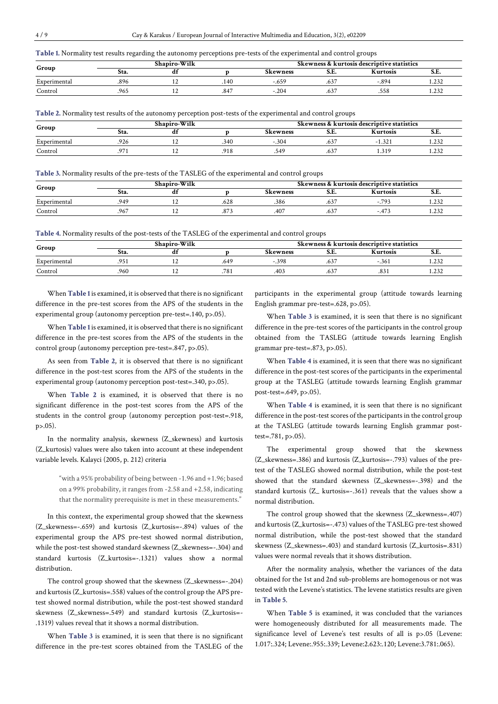| Table 1. Normality test results regarding the autonomy perceptions pre-tests of the experimental and control groups |  |  |  |
|---------------------------------------------------------------------------------------------------------------------|--|--|--|
|---------------------------------------------------------------------------------------------------------------------|--|--|--|

| Group        | Shapiro-Wilk |    |      | Skewness & kurtosis descriptive statistics |       |          |       |  |
|--------------|--------------|----|------|--------------------------------------------|-------|----------|-------|--|
|              | Sta.         | uı |      | <b>Skewness</b>                            | .تا.ت | Kurtosis | J.C.  |  |
| Experimental | .896         |    | .140 | $-.659$                                    | .63   | -.894    | .232  |  |
| Control      | .965         |    | .847 | .204                                       | .03   | .558     | 1.232 |  |

**Table 2.** Normality test results of the autonomy perception post-tests of the experimental and control groups

|              | Shapiro-Wilk |    |      | Skewness & kurtosis descriptive statistics |       |                |             |
|--------------|--------------|----|------|--------------------------------------------|-------|----------------|-------------|
| Group        | Sta.         | aı |      | <b>Skewness</b>                            | .تا.ت | Kurtosis       | J.C.        |
| Experimental | 926          |    | .340 | $-.304$                                    | .63   |                | 1.232       |
| Control      |              |    | 918  | .549                                       | .63   | $4.31^{\circ}$ | 22<br>l.232 |

**Table 3.** Normality results of the pre-tests of the TASLEG of the experimental and control groups

| Group                          | Shapiro-Wilk |   |                   | Skewness & kurtosis descriptive statistics |                             |          |       |
|--------------------------------|--------------|---|-------------------|--------------------------------------------|-----------------------------|----------|-------|
|                                | Sta.         | u |                   | <b>Skewness</b>                            | v.L.                        | Kurtosis | .ت ت  |
| $\blacksquare$<br>Experimental | 949          |   | .02c              | .386                                       | $\sim$ $\sim$<br>.63        | 70       | 1.232 |
| Control                        | .967         |   | $0 - 7$<br>ن / ق. | .407                                       | $\sim$ $\sim$ $\sim$<br>.63 | $-4/$    | 1.232 |

**Table 4.** Normality results of the post-tests of the TASLEG of the experimental and control groups

| Group        | Shapiro-Wilk |    |      | Skewness & kurtosis descriptive statistics |                       |          |       |  |
|--------------|--------------|----|------|--------------------------------------------|-----------------------|----------|-------|--|
|              | Sta.         | αı |      | <b>Skewness</b>                            | v.L.                  | Kurtosis | .تا.ت |  |
| Experimental | .95          |    | .649 | $-.398$                                    | $\sim$<br>.63.        | .36      | 1.232 |  |
| Control      | .960         | ∸  | .781 | .403                                       | $\sim$ $\sim$<br>.637 | 1 د ه.   | 1.232 |  |

When **Table 1**is examined, it is observed that there is no significant difference in the pre-test scores from the APS of the students in the experimental group (autonomy perception pre-test=.140, p>.05).

When **Table 1**is examined, it is observed that there is no significant difference in the pre-test scores from the APS of the students in the control group (autonomy perception pre-test=.847, p>.05).

As seen from **Table 2**, it is observed that there is no significant difference in the post-test scores from the APS of the students in the experimental group (autonomy perception post-test=.340, p>.05).

When **Table 2** is examined, it is observed that there is no significant difference in the post-test scores from the APS of the students in the control group (autonomy perception post-test=.918, p>.05).

In the normality analysis, skewness (Z\_skewness) and kurtosis (Z\_kurtosis) values were also taken into account at these independent variable levels. Kalayci (2005, p. 212) criteria

> "with a 95% probability of being between -1.96 and +1.96; based on a 99% probability, it ranges from -2.58 and +2.58, indicating that the normality prerequisite is met in these measurements."

In this context, the experimental group showed that the skewness (Z\_skewness=-.659) and kurtosis (Z\_kurtosis=-.894) values of the experimental group the APS pre-test showed normal distribution, while the post-test showed standard skewness (Z\_skewness=-.304) and standard kurtosis (Z\_kurtosis=-.1321) values show a normal distribution.

The control group showed that the skewness (Z\_skewness=-.204) and kurtosis (Z\_kurtosis=.558) values of the control group the APS pretest showed normal distribution, while the post-test showed standard skewness (Z\_skewness=.549) and standard kurtosis (Z\_kurtosis=- .1319) values reveal that it shows a normal distribution.

When **Table 3** is examined, it is seen that there is no significant difference in the pre-test scores obtained from the TASLEG of the participants in the experimental group (attitude towards learning English grammar pre-test=.628, p>.05).

When **Table 3** is examined, it is seen that there is no significant difference in the pre-test scores of the participants in the control group obtained from the TASLEG (attitude towards learning English grammar pre-test=.873, p>.05).

When **Table 4** is examined, it is seen that there was no significant difference in the post-test scores of the participants in the experimental group at the TASLEG (attitude towards learning English grammar post-test=.649, p>.05).

When **Table 4** is examined, it is seen that there is no significant difference in the post-test scores of the participants in the control group at the TASLEG (attitude towards learning English grammar posttest= $.781$ , p $> 0.05$ ).

The experimental group showed that the skewness (Z\_skewness=.386) and kurtosis (Z\_kurtosis=-.793) values of the pretest of the TASLEG showed normal distribution, while the post-test showed that the standard skewness (Z\_skewness=-.398) and the standard kurtosis (Z\_ kurtosis=-.361) reveals that the values show a normal distribution.

The control group showed that the skewness (Z\_skewness=.407) and kurtosis (Z\_kurtosis=-.473) values of the TASLEG pre-test showed normal distribution, while the post-test showed that the standard skewness (Z\_skewness=.403) and standard kurtosis (Z\_kurtosis=.831) values were normal reveals that it shows distribution.

After the normality analysis, whether the variances of the data obtained for the 1st and 2nd sub-problems are homogenous or not was tested with the Levene's statistics. The levene statistics results are given in **Table 5**.

When **Table 5** is examined, it was concluded that the variances were homogeneously distributed for all measurements made. The significance level of Levene's test results of all is p>.05 (Levene: 1.017:.324; Levene:.955:.339; Levene:2.623:.120; Levene:3.781:.065).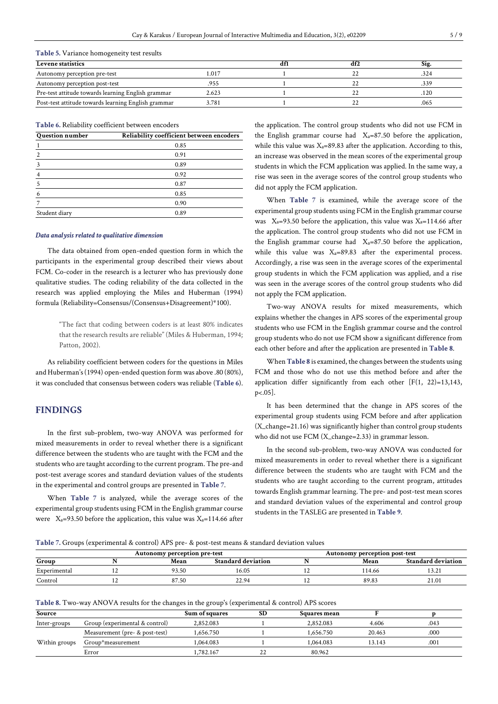| <b>Levene statistics</b>                            |       | df | df2 | Sig. |
|-----------------------------------------------------|-------|----|-----|------|
| Autonomy perception pre-test                        | 1.017 |    |     | .324 |
| Autonomy perception post-test                       | .955  |    |     | .339 |
| Pre-test attitude towards learning English grammar  | 2.623 |    |     | .120 |
| Post-test attitude towards learning English grammar | 1.781 |    |     | .065 |

| Table 6. Reliability coefficient between encoders |  |  |  |
|---------------------------------------------------|--|--|--|
|---------------------------------------------------|--|--|--|

| Question number | Reliability coefficient between encoders |
|-----------------|------------------------------------------|
|                 | 0.85                                     |
|                 | 0.91                                     |
|                 | 0.89                                     |
|                 | 0.92                                     |
|                 | 0.87                                     |
|                 | 0.85                                     |
|                 | 0.90                                     |
| Student diary   | 0.89                                     |

#### *Data analysis related to qualitative dimension*

The data obtained from open-ended question form in which the participants in the experimental group described their views about FCM. Co-coder in the research is a lecturer who has previously done qualitative studies. The coding reliability of the data collected in the research was applied employing the Miles and Huberman (1994) formula (Reliability=Consensus/(Consensus+Disagreement)\*100).

> "The fact that coding between coders is at least 80% indicates that the research results are reliable" (Miles & Huberman, 1994; Patton, 2002).

As reliability coefficient between coders for the questions in Miles andHuberman's(1994) open-ended question form was above .80 (80%), it was concluded that consensus between coders was reliable (**Table 6**).

## **FINDINGS**

In the first sub-problem, two-way ANOVA was performed for mixed measurements in order to reveal whether there is a significant difference between the students who are taught with the FCM and the students who are taught according to the current program. The pre-and post-test average scores and standard deviation values of the students in the experimental and control groups are presented in **Table 7**.

When **Table 7** is analyzed, while the average scores of the experimental group students using FCM in the English grammar course were  $X_a=93.50$  before the application, this value was  $X_a=114.66$  after the application. The control group students who did not use FCM in the English grammar course had  $X_a=87.50$  before the application, while this value was  $X_a = 89.83$  after the application. According to this, an increase was observed in the mean scores of the experimental group students in which the FCM application was applied. In the same way, a rise was seen in the average scores of the control group students who did not apply the FCM application.

When **Table 7** is examined, while the average score of the experimental group students using FCM in the English grammar course was  $X_a=93.50$  before the application, this value was  $X_a=114.66$  after the application. The control group students who did not use FCM in the English grammar course had  $X_a=87.50$  before the application, while this value was  $X_a = 89.83$  after the experimental process. Accordingly, a rise was seen in the average scores of the experimental group students in which the FCM application was applied, and a rise was seen in the average scores of the control group students who did not apply the FCM application.

Two-way ANOVA results for mixed measurements, which explains whether the changes in APS scores of the experimental group students who use FCM in the English grammar course and the control group students who do not use FCM show a significant difference from each other before and after the application are presented in **Table 8**.

When **Table 8** is examined, the changes between the students using FCM and those who do not use this method before and after the application differ significantly from each other  $[F(1, 22)=13,143,$ p<.05].

It has been determined that the change in APS scores of the experimental group students using FCM before and after application (X\_change=21.16) was significantly higher than control group students who did not use FCM (X\_change=2.33) in grammar lesson.

In the second sub-problem, two-way ANOVA was conducted for mixed measurements in order to reveal whether there is a significant difference between the students who are taught with FCM and the students who are taught according to the current program, attitudes towards English grammar learning. The pre- and post-test mean scores and standard deviation values of the experimental and control group students in the TASLEG are presented in **Table 9**.

**Table 7.** Groups (experimental & control) APS pre- & post-test means & standard deviation values

| Autonomy perception pre-test |  |       |                    | Autonomy perception post-test |       |                           |  |
|------------------------------|--|-------|--------------------|-------------------------------|-------|---------------------------|--|
| Group                        |  | Mean  | Standard deviation |                               | Mean  | <b>Standard deviation</b> |  |
| Experimental                 |  | 93.50 | 6.05               |                               | 14.66 | 22 <sup>0</sup><br>19.41  |  |
| Control                      |  | 87.50 | 22.94              |                               | 89.83 | 21.01                     |  |

**Table 8.** Two-way ANOVA results for the changes in the group's (experimental & control) APS scores

| Source        |                                | Sum of squares | <b>SD</b> | Squares mean |        |      |
|---------------|--------------------------------|----------------|-----------|--------------|--------|------|
| Inter-groups  | Group (experimental & control) | 2.852.083      |           | 2,852.083    | 4.606  | .043 |
|               | Measurement (pre- & post-test) | .656.750       |           | 1.656.750    | 20.463 | .000 |
| Within groups | Group*measurement              | .064.083       |           | .064.083     | 13.143 | .001 |
|               | Error                          | .782.167       |           | 80.962       |        |      |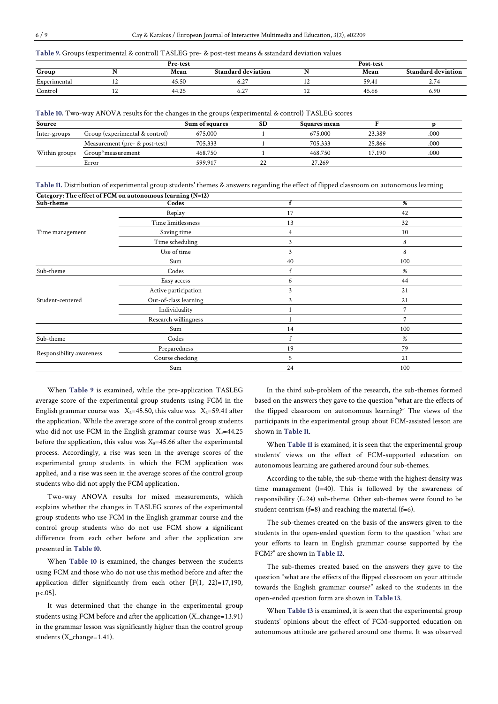## **Table 9.** Groups (experimental & control) TASLEG pre- & post-test means & sstandard deviation values

|                    | Pre-test |                           | Post-test |                           |
|--------------------|----------|---------------------------|-----------|---------------------------|
| Group              | Mean     | <b>Standard deviation</b> | Mean      | <b>Standard deviation</b> |
| r.<br>Experimental | 45.50    | $\sim$<br>v.∠             | 59.4      | $\cdot$ $\sim$<br>.       |
| Control            | 44.25    | $\sim$<br>O.Z             | 45.66     | 6.90                      |

## **Table 10.** Two-way ANOVA results for the changes in the groups (experimental & control) TASLEG scores

| Source        |                                | Sum of squares | <b>SD</b> | Squares mean |        |      |
|---------------|--------------------------------|----------------|-----------|--------------|--------|------|
| Inter-groups  | Group (experimental & control) | 675.000        |           | 675.000      | 23.389 | .000 |
|               | Measurement (pre- & post-test) | 705.333        |           | 705.333      | 25.866 | .000 |
| Within groups | Group*measurement              | 468.750        |           | 468.750      | 17.190 | .000 |
|               | Error                          | 599.917        | ∠∠        | 27.269       |        |      |

#### **Table 11.** Distribution of experimental group students' themes & answers regarding the effect of flipped classroom on autonomous learning

| Category: The effect of FCM on autonomous learning (N=12) |                       |              |     |
|-----------------------------------------------------------|-----------------------|--------------|-----|
| Sub-theme                                                 | Codes                 | f            | %   |
|                                                           | Replay                | 17           | 42  |
|                                                           | Time limitlessness    | 13           | 32  |
| Time management                                           | Saving time           | 4            | 10  |
|                                                           | Time scheduling       | 3            | 8   |
|                                                           | Use of time           | 3            | 8   |
|                                                           | Sum                   | 40           | 100 |
| Sub-theme                                                 | Codes                 |              | %   |
|                                                           | Easy access           | 6            | 44  |
|                                                           | Active participation  | 3            | 21  |
| Student-centered                                          | Out-of-class learning | 3            | 21  |
|                                                           | Individuality         |              | 7   |
|                                                           | Research willingness  |              | 7   |
|                                                           | Sum                   | 14           | 100 |
| Sub-theme                                                 | Codes                 | $\mathbf{f}$ | %   |
|                                                           | Preparedness          | 19           | 79  |
| Responsibility awareness                                  | Course checking       | 5            | 21  |
|                                                           | Sum                   | 24           | 100 |
|                                                           |                       |              |     |

When **Table 9** is examined, while the pre-application TASLEG average score of the experimental group students using FCM in the English grammar course was  $X_a=45.50$ , this value was  $X_a=59.41$  after the application. While the average score of the control group students who did not use FCM in the English grammar course was  $X_a=44.25$ before the application, this value was  $X_a=45.66$  after the experimental process. Accordingly, a rise was seen in the average scores of the experimental group students in which the FCM application was applied, and a rise was seen in the average scores of the control group students who did not apply the FCM application.

Two-way ANOVA results for mixed measurements, which explains whether the changes in TASLEG scores of the experimental group students who use FCM in the English grammar course and the control group students who do not use FCM show a significant difference from each other before and after the application are presented in **Table 10**.

When **Table 10** is examined, the changes between the students using FCM and those who do not use this method before and after the application differ significantly from each other  $[F(1, 22)=17,190,$ p<.05].

It was determined that the change in the experimental group students using FCM before and after the application (X\_change=13.91) in the grammar lesson was significantly higher than the control group students (X\_change=1.41).

In the third sub-problem of the research, the sub-themes formed based on the answers they gave to the question "what are the effects of the flipped classroom on autonomous learning?" The views of the participants in the experimental group about FCM-assisted lesson are shown in **Table 11**.

When **Table 11** is examined, it is seen that the experimental group students' views on the effect of FCM-supported education on autonomous learning are gathered around four sub-themes.

According to the table, the sub-theme with the highest density was time management (f=40). This is followed by the awareness of responsibility (f=24) sub-theme. Other sub-themes were found to be student centrism  $(f=8)$  and reaching the material  $(f=6)$ .

The sub-themes created on the basis of the answers given to the students in the open-ended question form to the question "what are your efforts to learn in English grammar course supported by the FCM?" are shown in **Table 12**.

The sub-themes created based on the answers they gave to the question "what are the effects of the flipped classroom on your attitude towards the English grammar course?" asked to the students in the open-ended question form are shown in **Table 13**.

When **Table 13** is examined, it is seen that the experimental group students' opinions about the effect of FCM-supported education on autonomous attitude are gathered around one theme. It was observed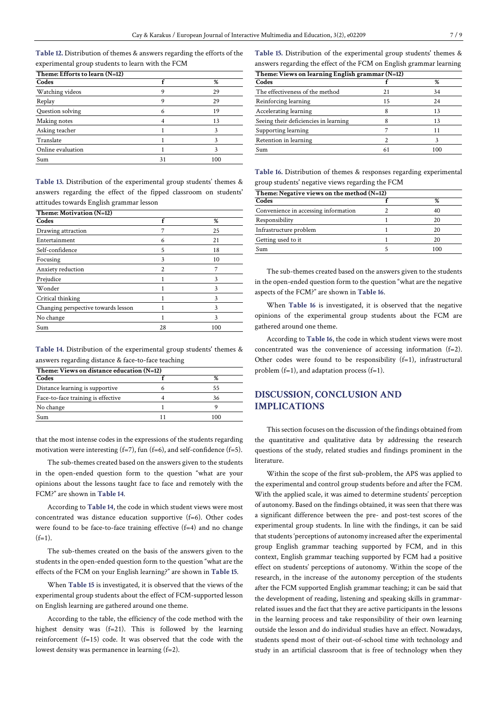**Table 12.** Distribution of themes & answers regarding the efforts of the experimental group students to learn with the FCM

| Theme: Efforts to learn (N=12) |     |  |  |
|--------------------------------|-----|--|--|
|                                | %   |  |  |
|                                | 29  |  |  |
| Q                              | 29  |  |  |
|                                | 19  |  |  |
|                                | 13  |  |  |
|                                |     |  |  |
|                                |     |  |  |
|                                |     |  |  |
| 31                             | 100 |  |  |
|                                |     |  |  |

**Table 13.** Distribution of the experimental group students' themes & answers regarding the effect of the fipped classroom on students' attitudes towards English grammar lesson

|    | %   |
|----|-----|
|    | 25  |
| 6  | 21  |
| 5  | 18  |
| 3  | 10  |
| 2  | 7   |
|    | 3   |
|    | 3   |
|    | 3   |
|    | 3   |
|    | 3   |
| 28 | 100 |
|    |     |

**Table 14.** Distribution of the experimental group students' themes & answers regarding distance & face-to-face teaching

| Theme: Views on distance education $(N=12)$ |     |  |  |
|---------------------------------------------|-----|--|--|
|                                             |     |  |  |
|                                             | רל  |  |  |
|                                             | 36  |  |  |
|                                             |     |  |  |
|                                             | 100 |  |  |
|                                             |     |  |  |

that the most intense codes in the expressions of the students regarding motivation were interesting  $(f=7)$ , fun  $(f=6)$ , and self-confidence  $(f=5)$ .

The sub-themes created based on the answers given to the students in the open-ended question form to the question "what are your opinions about the lessons taught face to face and remotely with the FCM?" are shown in **Table 14**.

According to **Table 14**, the code in which student views were most concentrated was distance education supportive (f=6). Other codes were found to be face-to-face training effective (f=4) and no change  $(f=1)$ .

The sub-themes created on the basis of the answers given to the students in the open-ended question form to the question "what are the effects of the FCM on your English learning?" are shown in **Table 15**.

When **Table 15** is investigated, it is observed that the views of the experimental group students about the effect of FCM-supported lesson on English learning are gathered around one theme.

According to the table, the efficiency of the code method with the highest density was (f=21). This is followed by the learning reinforcement (f=15) code. It was observed that the code with the lowest density was permanence in learning (f=2).

**Table 15.** Distribution of the experimental group students' themes & answers regarding the effect of the FCM on English grammar learning

| Theme: Views on learning English grammar $(N=12)$ |     |  |  |
|---------------------------------------------------|-----|--|--|
|                                                   | %   |  |  |
| 21                                                | 34  |  |  |
| 15                                                | 24  |  |  |
|                                                   | 13  |  |  |
|                                                   | 13  |  |  |
|                                                   |     |  |  |
|                                                   |     |  |  |
|                                                   | 100 |  |  |
|                                                   |     |  |  |

**Table 16.** Distribution of themes & responses regarding experimental group students' negative views regarding the FCM

| Theme: Negative views on the method $(N=12)$ |  |     |  |
|----------------------------------------------|--|-----|--|
| Codes                                        |  | %   |  |
| Convenience in accessing information         |  | 40  |  |
| Responsibility                               |  | 20  |  |
| Infrastructure problem                       |  | 20  |  |
| Getting used to it                           |  | 20  |  |
| Sum                                          |  | 100 |  |

The sub-themes created based on the answers given to the students in the open-ended question form to the question "what are the negative aspects of the FCM?" are shown in **Table 16**.

When **Table 16** is investigated, it is observed that the negative opinions of the experimental group students about the FCM are gathered around one theme.

According to **Table 16**, the code in which student views were most concentrated was the convenience of accessing information (f=2). Other codes were found to be responsibility (f=1), infrastructural problem (f=1), and adaptation process (f=1).

# **DISCUSSION, CONCLUSION AND IMPLICATIONS**

This section focuses on the discussion of the findings obtained from the quantitative and qualitative data by addressing the research questions of the study, related studies and findings prominent in the literature.

Within the scope of the first sub-problem, the APS was applied to the experimental and control group students before and after the FCM. With the applied scale, it was aimed to determine students' perception of autonomy. Based on the findings obtained, it was seen that there was a significant difference between the pre- and post-test scores of the experimental group students. In line with the findings, it can be said that students 'perceptions of autonomy increased after the experimental group English grammar teaching supported by FCM, and in this context, English grammar teaching supported by FCM had a positive effect on students' perceptions of autonomy. Within the scope of the research, in the increase of the autonomy perception of the students after the FCM supported English grammar teaching; it can be said that the development of reading, listening and speaking skills in grammarrelated issues and the fact that they are active participants in the lessons in the learning process and take responsibility of their own learning outside the lesson and do individual studies have an effect. Nowadays, students spend most of their out-of-school time with technology and study in an artificial classroom that is free of technology when they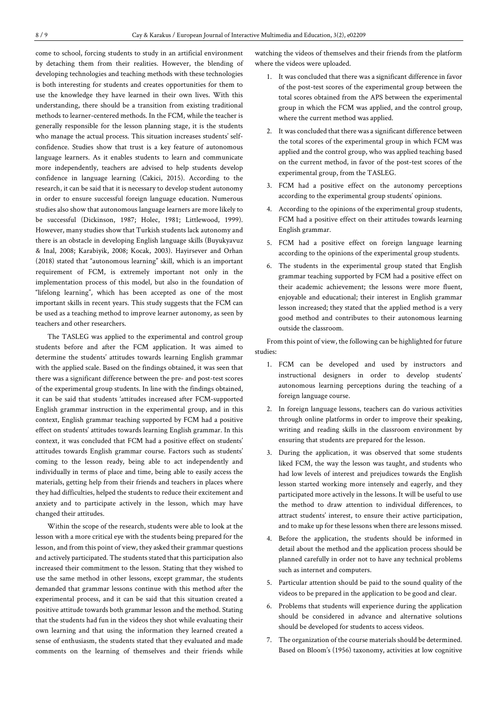come to school, forcing students to study in an artificial environment by detaching them from their realities. However, the blending of developing technologies and teaching methods with these technologies is both interesting for students and creates opportunities for them to use the knowledge they have learned in their own lives. With this understanding, there should be a transition from existing traditional methods to learner-centered methods. In the FCM, while the teacher is generally responsible for the lesson planning stage, it is the students who manage the actual process. This situation increases students' selfconfidence. Studies show that trust is a key feature of autonomous language learners. As it enables students to learn and communicate more independently, teachers are advised to help students develop confidence in language learning (Cakici, 2015). According to the research, it can be said that it is necessary to develop student autonomy in order to ensure successful foreign language education. Numerous studies also show that autonomous language learners are more likely to be successful (Dickinson, 1987; Holec, 1981; Littlewood, 1999). However, many studies show that Turkish students lack autonomy and there is an obstacle in developing English language skills (Buyukyavuz & Inal, 2008; Karabiyik, 2008; Kocak, 2003). Hayirsever and Orhan (2018) stated that "autonomous learning" skill, which is an important requirement of FCM, is extremely important not only in the implementation process of this model, but also in the foundation of "lifelong learning", which has been accepted as one of the most important skills in recent years. This study suggests that the FCM can be used as a teaching method to improve learner autonomy, as seen by teachers and other researchers.

The TASLEG was applied to the experimental and control group students before and after the FCM application. It was aimed to determine the students' attitudes towards learning English grammar with the applied scale. Based on the findings obtained, it was seen that there was a significant difference between the pre- and post-test scores of the experimental group students. In line with the findings obtained, it can be said that students 'attitudes increased after FCM-supported English grammar instruction in the experimental group, and in this context, English grammar teaching supported by FCM had a positive effect on students' attitudes towards learning English grammar. In this context, it was concluded that FCM had a positive effect on students' attitudes towards English grammar course. Factors such as students' coming to the lesson ready, being able to act independently and individually in terms of place and time, being able to easily access the materials, getting help from their friends and teachers in places where they had difficulties, helped the students to reduce their excitement and anxiety and to participate actively in the lesson, which may have changed their attitudes.

Within the scope of the research, students were able to look at the lesson with a more critical eye with the students being prepared for the lesson, and from this point of view, they asked their grammar questions and actively participated. The students stated that this participation also increased their commitment to the lesson. Stating that they wished to use the same method in other lessons, except grammar, the students demanded that grammar lessons continue with this method after the experimental process, and it can be said that this situation created a positive attitude towards both grammar lesson and the method. Stating that the students had fun in the videos they shot while evaluating their own learning and that using the information they learned created a sense of enthusiasm, the students stated that they evaluated and made comments on the learning of themselves and their friends while

watching the videos of themselves and their friends from the platform where the videos were uploaded.

- 1. It was concluded that there was a significant difference in favor of the post-test scores of the experimental group between the total scores obtained from the APS between the experimental group in which the FCM was applied, and the control group, where the current method was applied.
- 2. It was concluded that there was a significant difference between the total scores of the experimental group in which FCM was applied and the control group, who was applied teaching based on the current method, in favor of the post-test scores of the experimental group, from the TASLEG.
- 3. FCM had a positive effect on the autonomy perceptions according to the experimental group students' opinions.
- 4. According to the opinions of the experimental group students, FCM had a positive effect on their attitudes towards learning English grammar.
- 5. FCM had a positive effect on foreign language learning according to the opinions of the experimental group students.
- 6. The students in the experimental group stated that English grammar teaching supported by FCM had a positive effect on their academic achievement; the lessons were more fluent, enjoyable and educational; their interest in English grammar lesson increased; they stated that the applied method is a very good method and contributes to their autonomous learning outside the classroom.

From this point of view, the following can be highlighted for future studies:

- 1. FCM can be developed and used by instructors and instructional designers in order to develop students' autonomous learning perceptions during the teaching of a foreign language course.
- 2. In foreign language lessons, teachers can do various activities through online platforms in order to improve their speaking, writing and reading skills in the classroom environment by ensuring that students are prepared for the lesson.
- 3. During the application, it was observed that some students liked FCM, the way the lesson was taught, and students who had low levels of interest and prejudices towards the English lesson started working more intensely and eagerly, and they participated more actively in the lessons. It will be useful to use the method to draw attention to individual differences, to attract students' interest, to ensure their active participation, and to make up for these lessons when there are lessons missed.
- 4. Before the application, the students should be informed in detail about the method and the application process should be planned carefully in order not to have any technical problems such as internet and computers.
- 5. Particular attention should be paid to the sound quality of the videos to be prepared in the application to be good and clear.
- 6. Problems that students will experience during the application should be considered in advance and alternative solutions should be developed for students to access videos.
- 7. The organization of the course materials should be determined. Based on Bloom's (1956) taxonomy, activities at low cognitive